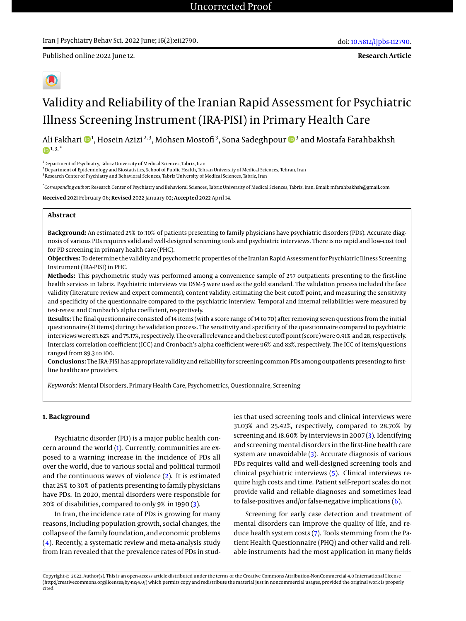Published online 2022 June 12.

**Research Article**

# Validity and Reliability of the Iranian Rapid Assessment for Psychiatric Illness Screening Instrument (IRA-PISI) in Primary Health Care

Ali Fakhari �� 1, Hosein Azizi  $^{2,3}$ , Mohsen Mostofi  $^3$ , Sona Sadeghpour ��  $^3$  and Mostafa Farahbakhsh  $(n)$ <sup>1, 3,  $*$ </sup>

<sup>1</sup>Department of Psychiatry, Tabriz University of Medical Sciences, Tabriz, Iran

 $2$ Department of Epidemiology and Biostatistics, School of Public Health, Tehran University of Medical Sciences, Tehran, Iran

<sup>3</sup> Research Center of Psychiatry and Behavioral Sciences, Tabriz University of Medical Sciences, Tabriz, Iran

\* *Corresponding author*: Research Center of Psychiatry and Behavioral Sciences, Tabriz University of Medical Sciences, Tabriz, Iran. Email: mfarahbakhsh@gmail.com

**Received** 2021 February 06; **Revised** 2022 January 02; **Accepted** 2022 April 14.

### **Abstract**

**Background:** An estimated 25% to 30% of patients presenting to family physicians have psychiatric disorders (PDs). Accurate diagnosis of various PDs requires valid and well-designed screening tools and psychiatric interviews. There is no rapid and low-cost tool for PD screening in primary health care (PHC).

**Objectives:** To determine the validity and psychometric properties of the Iranian Rapid Assessment for Psychiatric Illness Screening Instrument (IRA-PISI) in PHC.

**Methods:** This psychometric study was performed among a convenience sample of 257 outpatients presenting to the first-line health services in Tabriz. Psychiatric interviews via DSM-5 were used as the gold standard. The validation process included the face validity (literature review and expert comments), content validity, estimating the best cutoff point, and measuring the sensitivity and specificity of the questionnaire compared to the psychiatric interview. Temporal and internal reliabilities were measured by test-retest and Cronbach's alpha coefficient, respectively.

**Results:** The final questionnaire consisted of 14 items (with a score range of 14 to 70) after removing seven questions from the initial questionnaire (21 items) during the validation process. The sensitivity and specificity of the questionnaire compared to psychiatric interviews were 83.62% and 75.17%, respectively. The overall relevance and the best cutoff point (score) were 0.91% and 28, respectively. Interclass correlation coefficient (ICC) and Cronbach's alpha coefficient were 96% and 83%, respectively. The ICC of items/questions ranged from 89.3 to 100.

**Conclusions:** The IRA-PISI has appropriate validity and reliability for screening common PDs among outpatients presenting to firstline healthcare providers.

*Keywords:* Mental Disorders, Primary Health Care, Psychometrics, Questionnaire, Screening

#### **1. Background**

Psychiatric disorder (PD) is a major public health concern around the world [\(1\)](#page-6-0). Currently, communities are exposed to a warning increase in the incidence of PDs all over the world, due to various social and political turmoil and the continuous waves of violence [\(2\)](#page-6-1). It is estimated that 25% to 30% of patients presenting to family physicians have PDs. In 2020, mental disorders were responsible for 20% of disabilities, compared to only 9% in 1990 [\(3\)](#page-6-2).

In Iran, the incidence rate of PDs is growing for many reasons, including population growth, social changes, the collapse of the family foundation, and economic problems [\(4\)](#page-6-3). Recently, a systematic review and meta-analysis study from Iran revealed that the prevalence rates of PDs in studies that used screening tools and clinical interviews were 31.03% and 25.42%, respectively, compared to 28.70% by screening and 18.60% by interviews in 2007 [\(3\)](#page-6-2). Identifying and screening mental disorders in the first-line health care system are unavoidable [\(3\)](#page-6-2). Accurate diagnosis of various PDs requires valid and well-designed screening tools and clinical psychiatric interviews [\(5\)](#page-6-4). Clinical interviews require high costs and time. Patient self-report scales do not provide valid and reliable diagnoses and sometimes lead to false-positives and/or false-negative implications  $(6)$ .

Screening for early case detection and treatment of mental disorders can improve the quality of life, and reduce health system costs [\(7\)](#page-6-6). Tools stemming from the Patient Health Questionnaire (PHQ) and other valid and reliable instruments had the most application in many fields

Copyright © 2022, Author(s). This is an open-access article distributed under the terms of the Creative Commons Attribution-NonCommercial 4.0 International License (http://creativecommons.org/licenses/by-nc/4.0/) which permits copy and redistribute the material just in noncommercial usages, provided the original work is properly cited.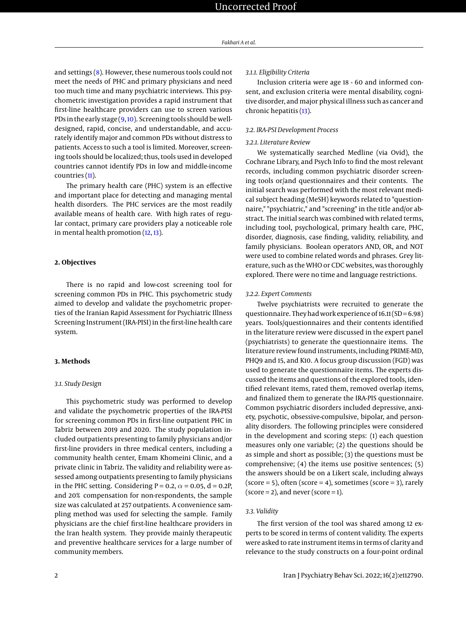and settings  $(8)$ . However, these numerous tools could not meet the needs of PHC and primary physicians and need too much time and many psychiatric interviews. This psychometric investigation provides a rapid instrument that first-line healthcare providers can use to screen various PDs in the early stage  $(9,10)$  $(9,10)$ . Screening tools should be welldesigned, rapid, concise, and understandable, and accurately identify major and common PDs without distress to patients. Access to such a tool is limited. Moreover, screening tools should be localized; thus, tools used in developed countries cannot identify PDs in low and middle-income countries [\(11\)](#page-6-10).

The primary health care (PHC) system is an effective and important place for detecting and managing mental health disorders. The PHC services are the most readily available means of health care. With high rates of regular contact, primary care providers play a noticeable role in mental health promotion [\(12,](#page-6-11) [13\)](#page-6-12).

#### **2. Objectives**

There is no rapid and low-cost screening tool for screening common PDs in PHC. This psychometric study aimed to develop and validate the psychometric properties of the Iranian Rapid Assessment for Psychiatric Illness Screening Instrument (IRA-PISI) in the first-line health care system.

#### **3. Methods**

#### *3.1. Study Design*

This psychometric study was performed to develop and validate the psychometric properties of the IRA-PISI for screening common PDs in first-line outpatient PHC in Tabriz between 2019 and 2020. The study population included outpatients presenting to family physicians and/or first-line providers in three medical centers, including a community health center, Emam Khomeini Clinic, and a private clinic in Tabriz. The validity and reliability were assessed among outpatients presenting to family physicians in the PHC setting. Considering P = 0.2,  $\alpha$  = 0.05, d = 0.2P, and 20% compensation for non-respondents, the sample size was calculated at 257 outpatients. A convenience sampling method was used for selecting the sample. Family physicians are the chief first-line healthcare providers in the Iran health system. They provide mainly therapeutic and preventive healthcare services for a large number of community members.

#### *3.1.1. Eligibility Criteria*

Inclusion criteria were age 18 - 60 and informed consent, and exclusion criteria were mental disability, cognitive disorder, and major physical illness such as cancer and chronic hepatitis [\(13\)](#page-6-12).

#### *3.2. IRA-PSI Development Process*

#### *3.2.1. Literature Review*

We systematically searched Medline (via Ovid), the Cochrane Library, and Psych Info to find the most relevant records, including common psychiatric disorder screening tools or/and questionnaires and their contents. The initial search was performed with the most relevant medical subject heading (MeSH) keywords related to "questionnaire," "psychiatric," and "screening" in the title and/or abstract. The initial search was combined with related terms, including tool, psychological, primary health care, PHC, disorder, diagnosis, case finding, validity, reliability, and family physicians. Boolean operators AND, OR, and NOT were used to combine related words and phrases. Grey literature, such as the WHO or CDC websites, was thoroughly explored. There were no time and language restrictions.

#### *3.2.2. Expert Comments*

Twelve psychiatrists were recruited to generate the questionnaire. They had work experience of 16.11 (SD = 6.98) years. Tools/questionnaires and their contents identified in the literature review were discussed in the expert panel (psychiatrists) to generate the questionnaire items. The literature review found instruments, including PRIME-MD, PHQ9 and 15, and K10. A focus group discussion (FGD) was used to generate the questionnaire items. The experts discussed the items and questions of the explored tools, identified relevant items, rated them, removed overlap items, and finalized them to generate the IRA-PIS questionnaire. Common psychiatric disorders included depressive, anxiety, psychotic, obsessive-compulsive, bipolar, and personality disorders. The following principles were considered in the development and scoring steps: (1) each question measures only one variable; (2) the questions should be as simple and short as possible; (3) the questions must be comprehensive; (4) the items use positive sentences; (5) the answers should be on a Likert scale, including always  $(score = 5)$ , often  $(score = 4)$ , sometimes  $(score = 3)$ , rarely  $(score = 2)$ , and never  $(score = 1)$ .

#### *3.3. Validity*

The first version of the tool was shared among 12 experts to be scored in terms of content validity. The experts were asked to rate instrument items in terms of clarity and relevance to the study constructs on a four-point ordinal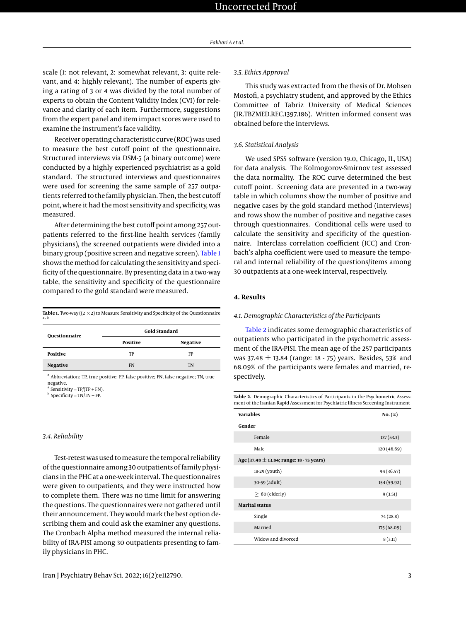scale (1: not relevant, 2: somewhat relevant, 3: quite relevant, and 4: highly relevant). The number of experts giving a rating of 3 or 4 was divided by the total number of experts to obtain the Content Validity Index (CVI) for relevance and clarity of each item. Furthermore, suggestions from the expert panel and item impact scores were used to examine the instrument's face validity.

Receiver operating characteristic curve (ROC) was used to measure the best cutoff point of the questionnaire. Structured interviews via DSM-5 (a binary outcome) were conducted by a highly experienced psychiatrist as a gold standard. The structured interviews and questionnaires were used for screening the same sample of 257 outpatients referred to the family physician. Then, the best cutoff point, where it had the most sensitivity and specificity, was measured.

After determining the best cutoff point among 257 outpatients referred to the first-line health services (family physicians), the screened outpatients were divided into a binary group (positive screen and negative screen). [Table 1](#page-2-0) shows the method for calculating the sensitivity and specificity of the questionnaire. By presenting data in a two-way table, the sensitivity and specificity of the questionnaire compared to the gold standard were measured.

<span id="page-2-0"></span>

|                                                                                                              | <b>Gold Standard</b> |
|--------------------------------------------------------------------------------------------------------------|----------------------|
| <b>Table 1.</b> Two-way ( $(2 \times 2)$ to Measure Sensitivity and Specificity of the Questionnaire<br>a, b |                      |

| Questionnaire   | ----------------- |           |  |  |
|-----------------|-------------------|-----------|--|--|
|                 | Positive          | Negative  |  |  |
| Positive        | TP                | FP        |  |  |
| <b>Negative</b> | FN                | <b>TN</b> |  |  |
|                 |                   |           |  |  |

<sup>z</sup> Abbreviation: TP, true positive; FP, false positive; FN, false negative; TN, true negative.

<sup>a</sup> Sensitivity = TP/(TP + FN).

<sup>b</sup> Specificity = TN/TN + FP.

#### *3.4. Reliability*

Test-retest was used to measure the temporal reliability of the questionnaire among 30 outpatients of family physicians in the PHC at a one-week interval. The questionnaires were given to outpatients, and they were instructed how to complete them. There was no time limit for answering the questions. The questionnaires were not gathered until their announcement. They would mark the best option describing them and could ask the examiner any questions. The Cronbach Alpha method measured the internal reliability of IRA-PISI among 30 outpatients presenting to family physicians in PHC.

#### *3.5. Ethics Approval*

This study was extracted from the thesis of Dr. Mohsen Mostofi, a psychiatry student, and approved by the Ethics Committee of Tabriz University of Medical Sciences (IR.TBZMED.REC.1397.186). Written informed consent was obtained before the interviews.

#### *3.6. Statistical Analysis*

We used SPSS software (version 19.0, Chicago, IL, USA) for data analysis. The Kolmogorov-Smirnov test assessed the data normality. The ROC curve determined the best cutoff point. Screening data are presented in a two-way table in which columns show the number of positive and negative cases by the gold standard method (interviews) and rows show the number of positive and negative cases through questionnaires. Conditional cells were used to calculate the sensitivity and specificity of the questionnaire. Interclass correlation coefficient (ICC) and Cronbach's alpha coefficient were used to measure the temporal and internal reliability of the questions/items among 30 outpatients at a one-week interval, respectively.

#### **4. Results**

#### *4.1. Demographic Characteristics of the Participants*

[Table 2](#page-2-1) indicates some demographic characteristics of outpatients who participated in the psychometric assessment of the IRA-PISI. The mean age of the 257 participants was 37.48  $\pm$  13.84 (range: 18 - 75) years. Besides, 53% and 68.09% of the participants were females and married, respectively.

<span id="page-2-1"></span>**Table 2.** Demographic Characteristics of Participants in the Psychometric Assessment of the Iranian Rapid Assessment for Psychiatric Illness Screening Instrument

| <b>Variables</b>                              | No. (%)     |  |  |  |
|-----------------------------------------------|-------------|--|--|--|
| Gender                                        |             |  |  |  |
| Female                                        | 137(53.3)   |  |  |  |
| Male                                          | 120(46.69)  |  |  |  |
| Age (37.48 $\pm$ 13.84; range: 18 - 75 years) |             |  |  |  |
| 18-29 (youth)                                 | 94 (36.57)  |  |  |  |
| 30-59 (adult)                                 | 154 (59.92) |  |  |  |
| $> 60$ (elderly)                              | 9(3.51)     |  |  |  |
| <b>Marital status</b>                         |             |  |  |  |
| Single                                        | 74(28.8)    |  |  |  |
| Married                                       | 175 (68.09) |  |  |  |
| Widow and divorced                            | 8(3.11)     |  |  |  |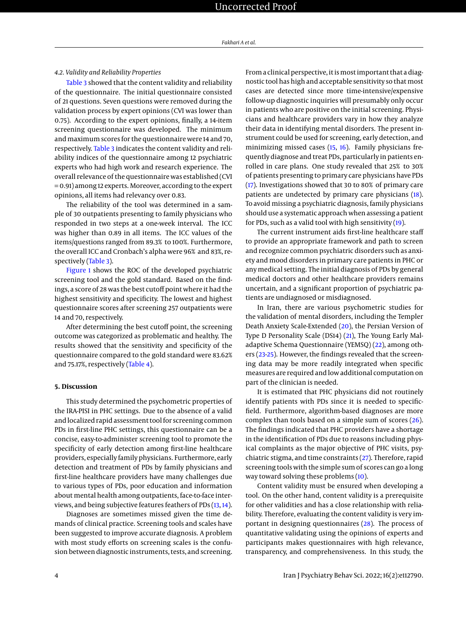#### *4.2. Validity and Reliability Properties*

[Table 3](#page-4-0) showed that the content validity and reliability of the questionnaire. The initial questionnaire consisted of 21 questions. Seven questions were removed during the validation process by expert opinions (CVI was lower than 0.75). According to the expert opinions, finally, a 14-item screening questionnaire was developed. The minimum and maximum scores for the questionnaire were 14 and 70, respectively. [Table 3](#page-4-0) indicates the content validity and reliability indices of the questionnaire among 12 psychiatric experts who had high work and research experience. The overall relevance of the questionnaire was established (CVI = 0.91) among 12 experts. Moreover, according to the expert opinions, all items had relevancy over 0.83.

The reliability of the tool was determined in a sample of 30 outpatients presenting to family physicians who responded in two steps at a one-week interval. The ICC was higher than 0.89 in all items. The ICC values of the items/questions ranged from 89.3% to 100%. Furthermore, the overall ICC and Cronbach's alpha were 96% and 83%, re-spectively [\(Table 3\)](#page-4-0).

[Figure 1](#page-5-0) shows the ROC of the developed psychiatric screening tool and the gold standard. Based on the findings, a score of 28 was the best cutoff point where it had the highest sensitivity and specificity. The lowest and highest questionnaire scores after screening 257 outpatients were 14 and 70, respectively.

After determining the best cutoff point, the screening outcome was categorized as problematic and healthy. The results showed that the sensitivity and specificity of the questionnaire compared to the gold standard were 83.62% and 75.17%, respectively [\(Table 4\)](#page-4-1).

#### **5. Discussion**

This study determined the psychometric properties of the IRA-PISI in PHC settings. Due to the absence of a valid and localized rapid assessment tool for screening common PDs in first-line PHC settings, this questionnaire can be a concise, easy-to-administer screening tool to promote the specificity of early detection among first-line healthcare providers, especially family physicians. Furthermore, early detection and treatment of PDs by family physicians and first-line healthcare providers have many challenges due to various types of PDs, poor education and information about mental health among outpatients, face-to-face interviews, and being subjective features feathers of PDs [\(13,](#page-6-12) [14\)](#page-6-13).

Diagnoses are sometimes missed given the time demands of clinical practice. Screening tools and scales have been suggested to improve accurate diagnosis. A problem with most study efforts on screening scales is the confusion between diagnostic instruments, tests, and screening.

From a clinical perspective, it is most important that a diagnostic tool has high and acceptable sensitivity so that most cases are detected since more time-intensive/expensive follow-up diagnostic inquiries will presumably only occur in patients who are positive on the initial screening. Physicians and healthcare providers vary in how they analyze their data in identifying mental disorders. The present instrument could be used for screening, early detection, and minimizing missed cases [\(15,](#page-6-14) [16\)](#page-7-0). Family physicians frequently diagnose and treat PDs, particularly in patients enrolled in care plans. One study revealed that 25% to 30% of patients presenting to primary care physicians have PDs [\(17\)](#page-7-1). Investigations showed that 30 to 80% of primary care patients are undetected by primary care physicians [\(18\)](#page-7-2). To avoid missing a psychiatric diagnosis, family physicians should use a systematic approach when assessing a patient for PDs, such as a valid tool with high sensitivity [\(19\)](#page-7-3).

The current instrument aids first-line healthcare staff to provide an appropriate framework and path to screen and recognize common psychiatric disorders such as anxiety and mood disorders in primary care patients in PHC or any medical setting. The initial diagnosis of PDs by general medical doctors and other healthcare providers remains uncertain, and a significant proportion of psychiatric patients are undiagnosed or misdiagnosed.

In Iran, there are various psychometric studies for the validation of mental disorders, including the Templer Death Anxiety Scale-Extended [\(20\)](#page-7-4), the Persian Version of Type D Personality Scale (DS14) [\(21\)](#page-7-5), The Young Early Maladaptive Schema Questionnaire (YEMSQ) [\(22\)](#page-7-6), among others [\(23-](#page-7-7)[25\)](#page-7-8). However, the findings revealed that the screening data may be more readily integrated when specific measures are required and low additional computation on part of the clinician is needed.

It is estimated that PHC physicians did not routinely identify patients with PDs since it is needed to specificfield. Furthermore, algorithm-based diagnoses are more complex than tools based on a simple sum of scores [\(26\)](#page-7-9). The findings indicated that PHC providers have a shortage in the identification of PDs due to reasons including physical complaints as the major objective of PHC visits, psychiatric stigma, and time constraints [\(27\)](#page-7-10). Therefore, rapid screening tools with the simple sum of scores can go a long way toward solving these problems [\(10\)](#page-6-9).

Content validity must be ensured when developing a tool. On the other hand, content validity is a prerequisite for other validities and has a close relationship with reliability. Therefore, evaluating the content validity is very important in designing questionnaires [\(28\)](#page-7-11). The process of quantitative validating using the opinions of experts and participants makes questionnaires with high relevance, transparency, and comprehensiveness. In this study, the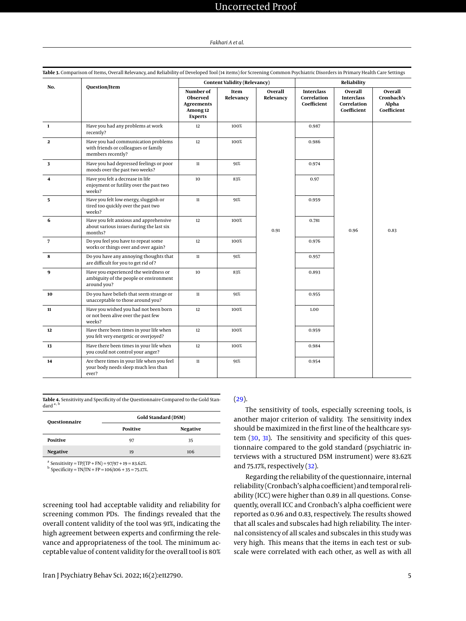# Uncorrected Proof

#### *Fakhari A et al.*

<span id="page-4-0"></span>

| Question/Item<br>No. |                                                                                                  |                   | <b>Content Validity (Relevancy)</b> |                                                 | Reliability                                                |                                               |      |
|----------------------|--------------------------------------------------------------------------------------------------|-------------------|-------------------------------------|-------------------------------------------------|------------------------------------------------------------|-----------------------------------------------|------|
|                      | Number of<br>Observed<br><b>Agreements</b><br>Among 12<br><b>Experts</b>                         | Item<br>Relevancy | Overall<br>Relevancy                | <b>Interclass</b><br>Correlation<br>Coefficient | Overall<br><b>Interclass</b><br>Correlation<br>Coefficient | Overall<br>Cronbach's<br>Alpha<br>Coefficient |      |
| $\mathbf{1}$         | Have you had any problems at work<br>recently?                                                   | 12                | 100%                                |                                                 | 0.987                                                      |                                               |      |
| $\mathbf{2}$         | Have you had communication problems<br>with friends or colleagues or family<br>members recently? | 12                | 100%                                |                                                 | 0.986                                                      |                                               |      |
| 3                    | Have you had depressed feelings or poor<br>moods over the past two weeks?                        | $11\,$            | 91%                                 | 0.91                                            | 0.974                                                      | 0.96                                          | 0.83 |
| 4                    | Have you felt a decrease in life<br>enjoyment or futility over the past two<br>weeks?            | 10                | 83%                                 |                                                 | 0.97                                                       |                                               |      |
| 5                    | Have you felt low energy, sluggish or<br>tired too quickly over the past two<br>weeks?           | $11\,$            | 91%                                 |                                                 | 0.959                                                      |                                               |      |
| 6                    | Have you felt anxious and apprehensive<br>about various issues during the last six<br>months?    | 12                | 100%                                |                                                 | 0.781                                                      |                                               |      |
| $\overline{7}$       | Do you feel you have to repeat some<br>works or things over and over again?                      | 12                | 100%                                |                                                 | 0.976                                                      |                                               |      |
| 8                    | Do you have any annoying thoughts that<br>are difficult for you to get rid of?                   | 11                | 91%                                 |                                                 | 0.957                                                      |                                               |      |
| 9                    | Have you experienced the weirdness or<br>ambiguity of the people or environment<br>around you?   | 10                | 83%                                 |                                                 | 0.893                                                      |                                               |      |
| 10                   | Do you have beliefs that seem strange or<br>unacceptable to those around you?                    | $11\,$            | 91%                                 |                                                 | 0.955                                                      |                                               |      |
| 11                   | Have you wished you had not been born<br>or not been alive over the past few<br>weeks?           | 12                | 100%                                |                                                 | 1.00                                                       |                                               |      |
| 12                   | Have there been times in your life when<br>you felt very energetic or overjoyed?                 | 12                | 100%                                |                                                 | 0.959                                                      |                                               |      |
| 13                   | Have there been times in your life when<br>you could not control your anger?                     | 12                | 100%                                |                                                 | 0.984                                                      |                                               |      |
| 14                   | Are there times in your life when you feel<br>your body needs sleep much less than<br>ever?      | $11\,$            | 91%                                 |                                                 | 0.954                                                      |                                               |      |

<span id="page-4-1"></span>**Table 4.** Sensitivity and Specificity of the Questionnaire Compared to the Gold Standard<sup>a</sup>

| Questionnaire   | Gold Standard (DSM) |          |  |  |
|-----------------|---------------------|----------|--|--|
|                 | Positive            | Negative |  |  |
| Positive        | 97                  | 35       |  |  |
| <b>Negative</b> | 19                  | 106      |  |  |

<sup>a</sup> Sensitivity = TP/(TP + FN) =  $97/97 + 19 = 83.62\%$ .

 $^{\rm b}$  Specificity = TN/TN + FP = 106/106 + 35 = 75.17%.

screening tool had acceptable validity and reliability for screening common PDs. The findings revealed that the overall content validity of the tool was 91%, indicating the high agreement between experts and confirming the relevance and appropriateness of the tool. The minimum acceptable value of content validity for the overall tool is 80%

#### [\(29\)](#page-7-12).

The sensitivity of tools, especially screening tools, is another major criterion of validity. The sensitivity index should be maximized in the first line of the healthcare system [\(30,](#page-7-13) [31\)](#page-7-14). The sensitivity and specificity of this questionnaire compared to the gold standard (psychiatric interviews with a structured DSM instrument) were 83.62% and 75.17%, respectively [\(32\)](#page-7-15).

Regarding the reliability of the questionnaire, internal reliability (Cronbach's alpha coefficient) and temporal reliability (ICC) were higher than 0.89 in all questions. Consequently, overall ICC and Cronbach's alpha coefficient were reported as 0.96 and 0.83, respectively. The results showed that all scales and subscales had high reliability. The internal consistency of all scales and subscales in this study was very high. This means that the items in each test or subscale were correlated with each other, as well as with all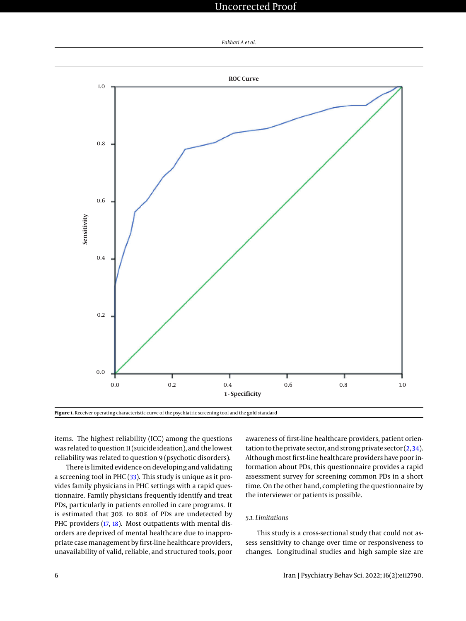## Uncorrected Proof

*Fakhari A et al.*

<span id="page-5-0"></span>

**Figure 1.** Receiver operating characteristic curve of the psychiatric screening tool and the gold standard

items. The highest reliability (ICC) among the questions was related to question 11 (suicide ideation), and the lowest reliability was related to question 9 (psychotic disorders).

There is limited evidence on developing and validating a screening tool in PHC [\(33\)](#page-7-16). This study is unique as it provides family physicians in PHC settings with a rapid questionnaire. Family physicians frequently identify and treat PDs, particularly in patients enrolled in care programs. It is estimated that 30% to 80% of PDs are undetected by PHC providers [\(17,](#page-7-1) [18\)](#page-7-2). Most outpatients with mental disorders are deprived of mental healthcare due to inappropriate case management by first-line healthcare providers, unavailability of valid, reliable, and structured tools, poor

awareness of first-line healthcare providers, patient orientation to the private sector, and strong private sector  $(2, 34)$  $(2, 34)$  $(2, 34)$ . Although most first-line healthcare providers have poor information about PDs, this questionnaire provides a rapid assessment survey for screening common PDs in a short time. On the other hand, completing the questionnaire by the interviewer or patients is possible.

#### *5.1. Limitations*

This study is a cross-sectional study that could not assess sensitivity to change over time or responsiveness to changes. Longitudinal studies and high sample size are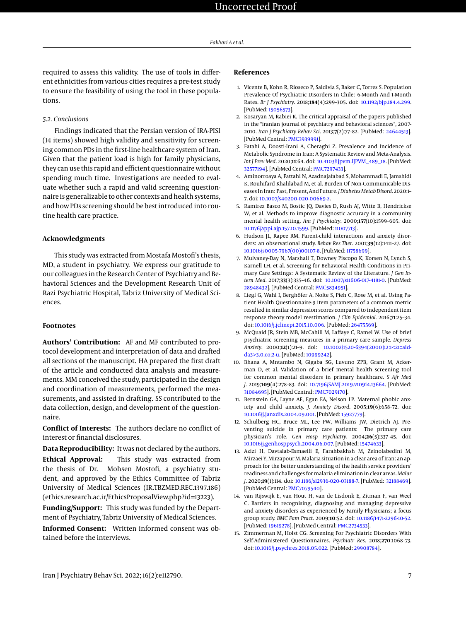required to assess this validity. The use of tools in different ethnicities from various cities requires a pre-test study to ensure the feasibility of using the tool in these populations.

#### *5.2. Conclusions*

Findings indicated that the Persian version of IRA-PISI (14 items) showed high validity and sensitivity for screening common PDs in the first-line healthcare system of Iran. Given that the patient load is high for family physicians, they can use this rapid and efficient questionnaire without spending much time. Investigations are needed to evaluate whether such a rapid and valid screening questionnaire is generalizable to other contexts and health systems, and how PDs screening should be best introduced into routine health care practice.

#### **Acknowledgments**

This study was extracted from Mostafa Mostofi's thesis, MD, a student in psychiatry. We express our gratitude to our colleagues in the Research Center of Psychiatry and Behavioral Sciences and the Development Research Unit of Razi Psychiatric Hospital, Tabriz University of Medical Sciences.

#### **Footnotes**

**Authors' Contribution:** AF and MF contributed to protocol development and interpretation of data and drafted all sections of the manuscript. HA prepared the first draft of the article and conducted data analysis and measurements. MM conceived the study, participated in the design and coordination of measurements, performed the measurements, and assisted in drafting. SS contributed to the data collection, design, and development of the questionnaire.

**Conflict of Interests:** The authors declare no conflict of interest or financial disclosures.

**Data Reproducibility:** It was not declared by the authors.

**Ethical Approval:** This study was extracted from the thesis of Dr. Mohsen Mostofi, a psychiatry student, and approved by the Ethics Committee of Tabriz University of Medical Sciences (IR.TBZMED.REC.1397.186) (ethics.research.ac.ir/EthicsProposalView.php?id=13223).

**Funding/Support:** This study was funded by the Department of Psychiatry, Tabriz University of Medical Sciences.

**Informed Consent:** Written informed consent was obtained before the interviews.

#### **References**

- <span id="page-6-0"></span>1. Vicente B, Kohn R, Rioseco P, Saldivia S, Baker C, Torres S. Population Prevalence Of Psychiatric Disorders In Chile: 6-Month And 1-Month Rates. *Br J Psychiatry*. 2018;**184**(4):299–305. doi: [10.1192/bjp.184.4.299.](http://dx.doi.org/10.1192/bjp.184.4.299) [PubMed: [15056573\]](http://www.ncbi.nlm.nih.gov/pubmed/15056573).
- <span id="page-6-1"></span>2. Kosaryan M, Rabiei K. The critical appraisal of the papers published in the "iranian journal of psychiatry and behavioral sciences", 2007- 2010. *Iran J Psychiatry Behav Sci*. 2013;**7**(2):77–82. [PubMed: [24644513\]](http://www.ncbi.nlm.nih.gov/pubmed/24644513). [PubMed Central: [PMC3939991\]](https://www.ncbi.nlm.nih.gov/pmc/articles/PMC3939991).
- <span id="page-6-2"></span>3. Fatahi A, Doosti-Irani A, Cheraghi Z. Prevalence and Incidence of Metabolic Syndrome in Iran: A Systematic Review and Meta-Analysis. *Int J Prev Med*. 2020;**11**:64. doi: [10.4103/ijpvm.IJPVM\\_489\\_18.](http://dx.doi.org/10.4103/ijpvm.IJPVM_489_18) [PubMed: [32577194\]](http://www.ncbi.nlm.nih.gov/pubmed/32577194). [PubMed Central: [PMC7297433\]](https://www.ncbi.nlm.nih.gov/pmc/articles/PMC7297433).
- <span id="page-6-3"></span>4. Aminorroaya A, Fattahi N, Azadnajafabad S, Mohammadi E, Jamshidi K, Rouhifard Khalilabad M, et al. Burden Of Non-Communicable Diseases In Iran: Past, Present, And Future. *J Diabetes Metab Disord*. 2020:1– 7. doi: [10.1007/s40200-020-00669-z.](http://dx.doi.org/10.1007/s40200-020-00669-z)
- <span id="page-6-4"></span>5. Ramirez Basco M, Bostic JQ, Davies D, Rush AJ, Witte B, Hendrickse W, et al. Methods to improve diagnostic accuracy in a community mental health setting. *Am J Psychiatry*. 2000;**157**(10):1599–605. doi: [10.1176/appi.ajp.157.10.1599.](http://dx.doi.org/10.1176/appi.ajp.157.10.1599) [PubMed: [11007713\]](http://www.ncbi.nlm.nih.gov/pubmed/11007713).
- <span id="page-6-5"></span>6. Hudson JL, Rapee RM. Parent-child interactions and anxiety disorders: an observational study. *Behav Res Ther*. 2001;**39**(12):1411–27. doi: [10.1016/s0005-7967\(00\)00107-8.](http://dx.doi.org/10.1016/s0005-7967(00)00107-8) [PubMed: [11758699\]](http://www.ncbi.nlm.nih.gov/pubmed/11758699).
- <span id="page-6-6"></span>7. Mulvaney-Day N, Marshall T, Downey Piscopo K, Korsen N, Lynch S, Karnell LH, et al. Screening for Behavioral Health Conditions in Primary Care Settings: A Systematic Review of the Literature. *J Gen Intern Med*. 2017;**33**(3):335–46. doi: [10.1007/s11606-017-4181-0.](http://dx.doi.org/10.1007/s11606-017-4181-0) [PubMed: [28948432\]](http://www.ncbi.nlm.nih.gov/pubmed/28948432). [PubMed Central: [PMC5834951\]](https://www.ncbi.nlm.nih.gov/pmc/articles/PMC5834951).
- <span id="page-6-7"></span>8. Liegl G, Wahl I, Berghöfer A, Nolte S, Pieh C, Rose M, et al. Using Patient Health Questionnaire-9 item parameters of a common metric resulted in similar depression scores compared to independent item response theory model reestimation. *J Clin Epidemiol*. 2016;**71**:25–34. doi: [10.1016/j.jclinepi.2015.10.006.](http://dx.doi.org/10.1016/j.jclinepi.2015.10.006) [PubMed: [26475569\]](http://www.ncbi.nlm.nih.gov/pubmed/26475569).
- <span id="page-6-8"></span>9. McQuaid JR, Stein MB, McCahill M, Laffaye C, Ramel W. Use of brief psychiatric screening measures in a primary care sample. *Depress Anxiety*. 2000;**12**(1):21–9. doi: [10.1002/1520-6394\(2000\)12:1<21::aid](http://dx.doi.org/10.1002/1520-6394(2000)12:1<21::aid-da3>3.0.co;2-u)[da3>3.0.co;2-u.](http://dx.doi.org/10.1002/1520-6394(2000)12:1<21::aid-da3>3.0.co;2-u) [PubMed: [10999242\]](http://www.ncbi.nlm.nih.gov/pubmed/10999242).
- <span id="page-6-9"></span>10. Bhana A, Mntambo N, Gigaba SG, Luvuno ZPB, Grant M, Ackerman D, et al. Validation of a brief mental health screening tool for common mental disorders in primary healthcare. *S Afr Med J*. 2019;**109**(4):278–83. doi: [10.7196/SAMJ.2019.v109i4.13664.](http://dx.doi.org/10.7196/SAMJ.2019.v109i4.13664) [PubMed: [31084695\]](http://www.ncbi.nlm.nih.gov/pubmed/31084695). [PubMed Central: [PMC7029170\]](https://www.ncbi.nlm.nih.gov/pmc/articles/PMC7029170).
- <span id="page-6-10"></span>11. Bernstein GA, Layne AE, Egan EA, Nelson LP. Maternal phobic anxiety and child anxiety. *J. Anxiety Disord*. 2005;**19**(6):658–72. doi: [10.1016/j.janxdis.2004.09.001.](http://dx.doi.org/10.1016/j.janxdis.2004.09.001) [PubMed: [15927779\]](http://www.ncbi.nlm.nih.gov/pubmed/15927779).
- <span id="page-6-11"></span>12. Schulberg HC, Bruce ML, Lee PW, Williams JW, Dietrich AJ. Preventing suicide in primary care patients: The primary care physician's role. *Gen Hosp Psychiatry*. 2004;**26**(5):337–45. doi: [10.1016/j.genhosppsych.2004.06.007.](http://dx.doi.org/10.1016/j.genhosppsych.2004.06.007) [PubMed: [15474633\]](http://www.ncbi.nlm.nih.gov/pubmed/15474633).
- <span id="page-6-12"></span>13. Azizi H, Davtalab-Esmaeili E, Farahbakhsh M, Zeinolabedini M, Mirzaei Y, Mirzapour M. Malaria situation in a clear area of Iran: an approach for the better understanding of the health service providers' readiness and challenges formalaria elimination in clear areas. *Malar J*. 2020;**19**(1):114. doi: [10.1186/s12936-020-03188-7.](http://dx.doi.org/10.1186/s12936-020-03188-7) [PubMed: [32188469\]](http://www.ncbi.nlm.nih.gov/pubmed/32188469). [PubMed Central: [PMC7079540\]](https://www.ncbi.nlm.nih.gov/pmc/articles/PMC7079540).
- <span id="page-6-13"></span>14. van Rijswijk E, van Hout H, van de Lisdonk E, Zitman F, van Weel C. Barriers in recognising, diagnosing and managing depressive and anxiety disorders as experienced by Family Physicians; a focus group study. *BMC Fam Pract*. 2009;**10**:52. doi: [10.1186/1471-2296-10-52.](http://dx.doi.org/10.1186/1471-2296-10-52) [PubMed: [19619278\]](http://www.ncbi.nlm.nih.gov/pubmed/19619278). [PubMed Central: [PMC2734533\]](https://www.ncbi.nlm.nih.gov/pmc/articles/PMC2734533).
- <span id="page-6-14"></span>15. Zimmerman M, Holst CG. Screening For Psychiatric Disorders With Self-Administered Questionnaires. *Psychiatr Res*. 2018;**270**:1068–73. doi: [10.1016/j.psychres.2018.05.022.](http://dx.doi.org/10.1016/j.psychres.2018.05.022) [PubMed: [29908784\]](http://www.ncbi.nlm.nih.gov/pubmed/29908784).